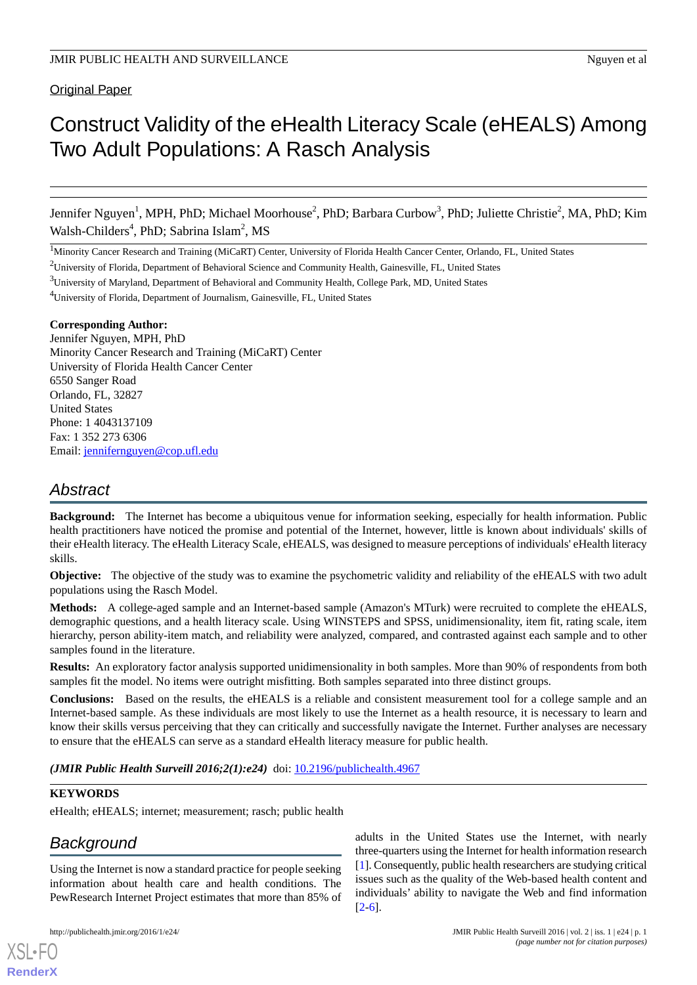# Construct Validity of the eHealth Literacy Scale (eHEALS) Among Two Adult Populations: A Rasch Analysis

Jennifer Nguyen<sup>1</sup>, MPH, PhD; Michael Moorhouse<sup>2</sup>, PhD; Barbara Curbow<sup>3</sup>, PhD; Juliette Christie<sup>2</sup>, MA, PhD; Kim Walsh-Childers<sup>4</sup>, PhD; Sabrina Islam<sup>2</sup>, MS

<sup>1</sup>Minority Cancer Research and Training (MiCaRT) Center, University of Florida Health Cancer Center, Orlando, FL, United States

<sup>2</sup>University of Florida, Department of Behavioral Science and Community Health, Gainesville, FL, United States

<sup>3</sup>University of Maryland, Department of Behavioral and Community Health, College Park, MD, United States

<sup>4</sup>University of Florida, Department of Journalism, Gainesville, FL, United States

#### **Corresponding Author:**

Jennifer Nguyen, MPH, PhD Minority Cancer Research and Training (MiCaRT) Center University of Florida Health Cancer Center 6550 Sanger Road Orlando, FL, 32827 United States Phone: 1 4043137109 Fax: 1 352 273 6306 Email: [jennifernguyen@cop.ufl.edu](mailto:jennifernguyen@cop.ufl.edu)

# *Abstract*

**Background:** The Internet has become a ubiquitous venue for information seeking, especially for health information. Public health practitioners have noticed the promise and potential of the Internet, however, little is known about individuals' skills of their eHealth literacy. The eHealth Literacy Scale, eHEALS, was designed to measure perceptions of individuals' eHealth literacy skills.

**Objective:** The objective of the study was to examine the psychometric validity and reliability of the eHEALS with two adult populations using the Rasch Model.

**Methods:** A college-aged sample and an Internet-based sample (Amazon's MTurk) were recruited to complete the eHEALS, demographic questions, and a health literacy scale. Using WINSTEPS and SPSS, unidimensionality, item fit, rating scale, item hierarchy, person ability-item match, and reliability were analyzed, compared, and contrasted against each sample and to other samples found in the literature.

**Results:** An exploratory factor analysis supported unidimensionality in both samples. More than 90% of respondents from both samples fit the model. No items were outright misfitting. Both samples separated into three distinct groups.

**Conclusions:** Based on the results, the eHEALS is a reliable and consistent measurement tool for a college sample and an Internet-based sample. As these individuals are most likely to use the Internet as a health resource, it is necessary to learn and know their skills versus perceiving that they can critically and successfully navigate the Internet. Further analyses are necessary to ensure that the eHEALS can serve as a standard eHealth literacy measure for public health.

*(JMIR Public Health Surveill 2016;2(1):e24)* doi: [10.2196/publichealth.4967](http://dx.doi.org/10.2196/publichealth.4967)

#### **KEYWORDS**

eHealth; eHEALS; internet; measurement; rasch; public health

# *Background*

[XSL](http://www.w3.org/Style/XSL)•FO **[RenderX](http://www.renderx.com/)**

Using the Internet is now a standard practice for people seeking information about health care and health conditions. The PewResearch Internet Project estimates that more than 85% of

adults in the United States use the Internet, with nearly three-quarters using the Internet for health information research [[1\]](#page-12-0). Consequently, public health researchers are studying critical issues such as the quality of the Web-based health content and individuals' ability to navigate the Web and find information [[2](#page-12-1)[-6](#page-12-2)].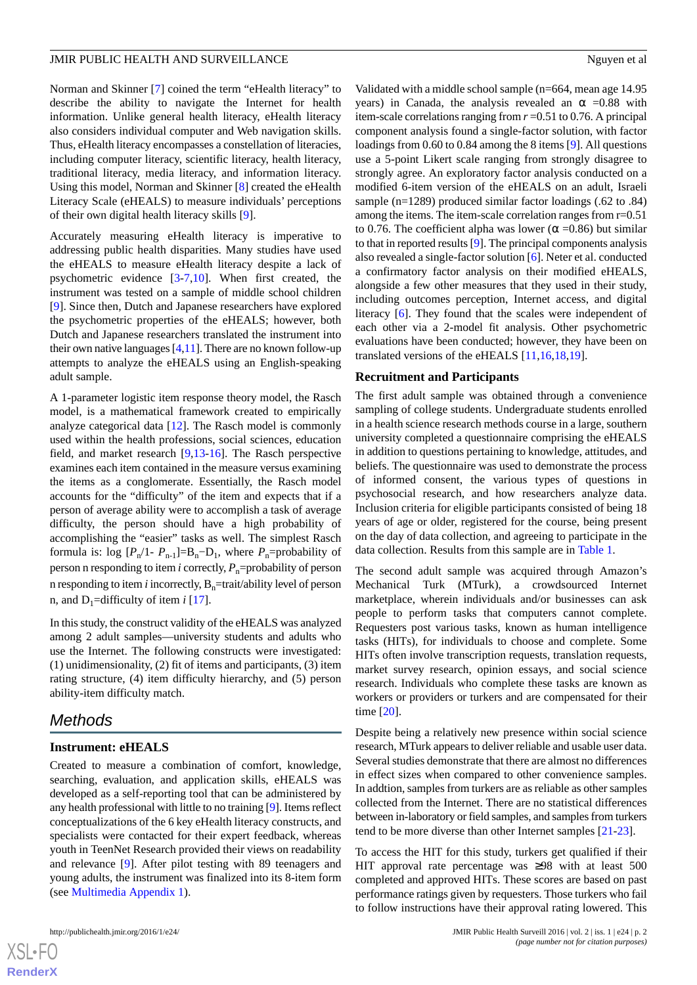Norman and Skinner [\[7](#page-12-3)] coined the term "eHealth literacy" to describe the ability to navigate the Internet for health information. Unlike general health literacy, eHealth literacy also considers individual computer and Web navigation skills. Thus, eHealth literacy encompasses a constellation of literacies, including computer literacy, scientific literacy, health literacy, traditional literacy, media literacy, and information literacy. Using this model, Norman and Skinner [\[8](#page-12-4)] created the eHealth Literacy Scale (eHEALS) to measure individuals' perceptions of their own digital health literacy skills [[9\]](#page-12-5).

Accurately measuring eHealth literacy is imperative to addressing public health disparities. Many studies have used the eHEALS to measure eHealth literacy despite a lack of psychometric evidence [[3](#page-12-6)[-7](#page-12-3),[10\]](#page-12-7). When first created, the instrument was tested on a sample of middle school children [[9\]](#page-12-5). Since then, Dutch and Japanese researchers have explored the psychometric properties of the eHEALS; however, both Dutch and Japanese researchers translated the instrument into their own native languages  $[4,11]$  $[4,11]$  $[4,11]$  $[4,11]$ . There are no known follow-up attempts to analyze the eHEALS using an English-speaking adult sample.

A 1-parameter logistic item response theory model, the Rasch model, is a mathematical framework created to empirically analyze categorical data [[12\]](#page-12-10). The Rasch model is commonly used within the health professions, social sciences, education field, and market research [[9](#page-12-5)[,13](#page-12-11)-[16\]](#page-12-12). The Rasch perspective examines each item contained in the measure versus examining the items as a conglomerate. Essentially, the Rasch model accounts for the "difficulty" of the item and expects that if a person of average ability were to accomplish a task of average difficulty, the person should have a high probability of accomplishing the "easier" tasks as well. The simplest Rasch formula is:  $\log [P_n/1 - P_{n-1}] = B_n - D_1$ , where  $P_n$ =probability of person n responding to item *i* correctly,  $P_n$ =probability of person n responding to item *i* incorrectly,  $B_n$ =trait/ability level of person n, and  $D_1$ =difficulty of item *i* [[17\]](#page-13-0).

In this study, the construct validity of the eHEALS was analyzed among 2 adult samples—university students and adults who use the Internet. The following constructs were investigated: (1) unidimensionality, (2) fit of items and participants, (3) item rating structure, (4) item difficulty hierarchy, and (5) person ability-item difficulty match.

# *Methods*

#### **Instrument: eHEALS**

Created to measure a combination of comfort, knowledge, searching, evaluation, and application skills, eHEALS was developed as a self-reporting tool that can be administered by any health professional with little to no training [\[9](#page-12-5)]. Items reflect conceptualizations of the 6 key eHealth literacy constructs, and specialists were contacted for their expert feedback, whereas youth in TeenNet Research provided their views on readability and relevance [\[9](#page-12-5)]. After pilot testing with 89 teenagers and young adults, the instrument was finalized into its 8-item form (see [Multimedia Appendix 1](#page-12-13)).

Validated with a middle school sample (n=664, mean age 14.95 years) in Canada, the analysis revealed an  $\alpha$  =0.88 with item-scale correlations ranging from *r* =0.51 to 0.76. A principal component analysis found a single-factor solution, with factor loadings from 0.60 to 0.84 among the 8 items [\[9](#page-12-5)]. All questions use a 5-point Likert scale ranging from strongly disagree to strongly agree. An exploratory factor analysis conducted on a modified 6-item version of the eHEALS on an adult, Israeli sample (n=1289) produced similar factor loadings (.62 to .84) among the items. The item-scale correlation ranges from r=0.51 to 0.76. The coefficient alpha was lower ( $\alpha$  =0.86) but similar to that in reported results [[9\]](#page-12-5). The principal components analysis also revealed a single-factor solution [[6\]](#page-12-2). Neter et al. conducted a confirmatory factor analysis on their modified eHEALS, alongside a few other measures that they used in their study, including outcomes perception, Internet access, and digital literacy [\[6\]](#page-12-2). They found that the scales were independent of each other via a 2-model fit analysis. Other psychometric evaluations have been conducted; however, they have been on translated versions of the eHEALS [[11,](#page-12-9)[16](#page-12-12),[18,](#page-13-1)[19](#page-13-2)].

#### **Recruitment and Participants**

The first adult sample was obtained through a convenience sampling of college students. Undergraduate students enrolled in a health science research methods course in a large, southern university completed a questionnaire comprising the eHEALS in addition to questions pertaining to knowledge, attitudes, and beliefs. The questionnaire was used to demonstrate the process of informed consent, the various types of questions in psychosocial research, and how researchers analyze data. Inclusion criteria for eligible participants consisted of being 18 years of age or older, registered for the course, being present on the day of data collection, and agreeing to participate in the data collection. Results from this sample are in [Table 1](#page-3-0).

The second adult sample was acquired through Amazon's Mechanical Turk (MTurk), a crowdsourced Internet marketplace, wherein individuals and/or businesses can ask people to perform tasks that computers cannot complete. Requesters post various tasks, known as human intelligence tasks (HITs), for individuals to choose and complete. Some HITs often involve transcription requests, translation requests, market survey research, opinion essays, and social science research. Individuals who complete these tasks are known as workers or providers or turkers and are compensated for their time [\[20](#page-13-3)].

Despite being a relatively new presence within social science research, MTurk appears to deliver reliable and usable user data. Several studies demonstrate that there are almost no differences in effect sizes when compared to other convenience samples. In addtion, samples from turkers are as reliable as other samples collected from the Internet. There are no statistical differences between in-laboratory or field samples, and samples from turkers tend to be more diverse than other Internet samples [\[21](#page-13-4)[-23](#page-13-5)].

To access the HIT for this study, turkers get qualified if their HIT approval rate percentage was  $\geq 98$  with at least 500 completed and approved HITs. These scores are based on past performance ratings given by requesters. Those turkers who fail to follow instructions have their approval rating lowered. This

 $XS$  $\cdot$ FC **[RenderX](http://www.renderx.com/)**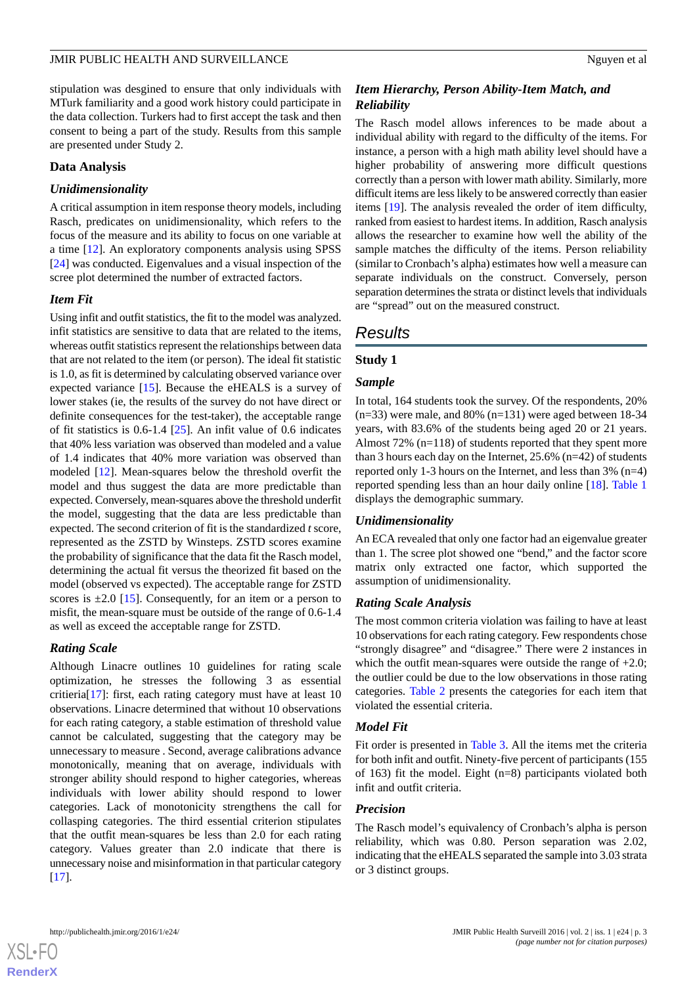stipulation was desgined to ensure that only individuals with MTurk familiarity and a good work history could participate in the data collection. Turkers had to first accept the task and then consent to being a part of the study. Results from this sample are presented under Study 2.

#### **Data Analysis**

#### *Unidimensionality*

A critical assumption in item response theory models, including Rasch, predicates on unidimensionality, which refers to the focus of the measure and its ability to focus on one variable at a time [\[12](#page-12-10)]. An exploratory components analysis using SPSS [[24\]](#page-13-6) was conducted. Eigenvalues and a visual inspection of the scree plot determined the number of extracted factors.

#### *Item Fit*

Using infit and outfit statistics, the fit to the model was analyzed. infit statistics are sensitive to data that are related to the items, whereas outfit statistics represent the relationships between data that are not related to the item (or person). The ideal fit statistic is 1.0, as fit is determined by calculating observed variance over expected variance [\[15](#page-12-14)]. Because the eHEALS is a survey of lower stakes (ie, the results of the survey do not have direct or definite consequences for the test-taker), the acceptable range of fit statistics is 0.6-1.4 [\[25](#page-13-7)]. An infit value of 0.6 indicates that 40% less variation was observed than modeled and a value of 1.4 indicates that 40% more variation was observed than modeled [\[12](#page-12-10)]. Mean-squares below the threshold overfit the model and thus suggest the data are more predictable than expected. Conversely, mean-squares above the threshold underfit the model, suggesting that the data are less predictable than expected. The second criterion of fit is the standardized *t* score, represented as the ZSTD by Winsteps. ZSTD scores examine the probability of significance that the data fit the Rasch model, determining the actual fit versus the theorized fit based on the model (observed vs expected). The acceptable range for ZSTD scores is  $\pm 2.0$  [[15\]](#page-12-14). Consequently, for an item or a person to misfit, the mean-square must be outside of the range of 0.6-1.4 as well as exceed the acceptable range for ZSTD.

#### *Rating Scale*

Although Linacre outlines 10 guidelines for rating scale optimization, he stresses the following 3 as essential critieria[[17\]](#page-13-0): first, each rating category must have at least 10 observations. Linacre determined that without 10 observations for each rating category, a stable estimation of threshold value cannot be calculated, suggesting that the category may be unnecessary to measure . Second, average calibrations advance monotonically, meaning that on average, individuals with stronger ability should respond to higher categories, whereas individuals with lower ability should respond to lower categories. Lack of monotonicity strengthens the call for collasping categories. The third essential criterion stipulates that the outfit mean-squares be less than 2.0 for each rating category. Values greater than 2.0 indicate that there is unnecessary noise and misinformation in that particular category [[17\]](#page-13-0).

### *Item Hierarchy, Person Ability-Item Match, and Reliability*

The Rasch model allows inferences to be made about a individual ability with regard to the difficulty of the items. For instance, a person with a high math ability level should have a higher probability of answering more difficult questions correctly than a person with lower math ability. Similarly, more difficult items are less likely to be answered correctly than easier items [[19\]](#page-13-2). The analysis revealed the order of item difficulty, ranked from easiest to hardest items. In addition, Rasch analysis allows the researcher to examine how well the ability of the sample matches the difficulty of the items. Person reliability (similar to Cronbach's alpha) estimates how well a measure can separate individuals on the construct. Conversely, person separation determines the strata or distinct levels that individuals are "spread" out on the measured construct.

# *Results*

#### **Study 1**

#### *Sample*

In total, 164 students took the survey. Of the respondents, 20% (n=33) were male, and 80% (n=131) were aged between 18-34 years, with 83.6% of the students being aged 20 or 21 years. Almost 72% (n=118) of students reported that they spent more than 3 hours each day on the Internet, 25.6% (n=42) of students reported only 1-3 hours on the Internet, and less than 3% (n=4) reported spending less than an hour daily online [\[18](#page-13-1)]. [Table 1](#page-3-0) displays the demographic summary.

#### *Unidimensionality*

An ECA revealed that only one factor had an eigenvalue greater than 1. The scree plot showed one "bend," and the factor score matrix only extracted one factor, which supported the assumption of unidimensionality.

#### *Rating Scale Analysis*

The most common criteria violation was failing to have at least 10 observations for each rating category. Few respondents chose "strongly disagree" and "disagree." There were 2 instances in which the outfit mean-squares were outside the range of  $+2.0$ ; the outlier could be due to the low observations in those rating categories. [Table 2](#page-3-1) presents the categories for each item that violated the essential criteria.

#### *Model Fit*

Fit order is presented in [Table 3.](#page-4-0) All the items met the criteria for both infit and outfit. Ninety-five percent of participants (155 of 163) fit the model. Eight (n=8) participants violated both infit and outfit criteria.

#### *Precision*

The Rasch model's equivalency of Cronbach's alpha is person reliability, which was 0.80. Person separation was 2.02, indicating that the eHEALS separated the sample into 3.03 strata or 3 distinct groups.

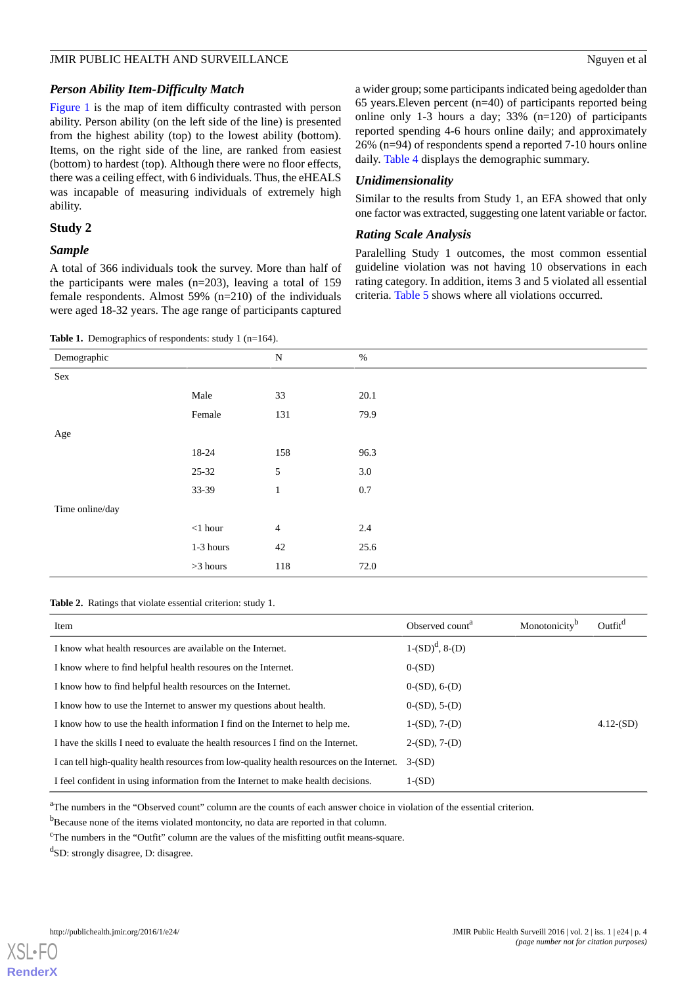#### *Person Ability Item-Difficulty Match*

[Figure 1](#page-5-0) is the map of item difficulty contrasted with person ability. Person ability (on the left side of the line) is presented from the highest ability (top) to the lowest ability (bottom). Items, on the right side of the line, are ranked from easiest (bottom) to hardest (top). Although there were no floor effects, there was a ceiling effect, with 6 individuals. Thus, the eHEALS was incapable of measuring individuals of extremely high ability.

#### **Study 2**

#### *Sample*

A total of 366 individuals took the survey. More than half of the participants were males (n=203), leaving a total of 159 female respondents. Almost 59% (n=210) of the individuals were aged 18-32 years. The age range of participants captured

<span id="page-3-0"></span>Table 1. Demographics of respondents: study 1 (n=164).

a wider group; some participants indicated being agedolder than 65 years.Eleven percent (n=40) of participants reported being online only 1-3 hours a day; 33% (n=120) of participants reported spending 4-6 hours online daily; and approximately 26% (n=94) of respondents spend a reported 7-10 hours online daily. [Table 4](#page-6-0) displays the demographic summary.

#### *Unidimensionality*

Similar to the results from Study 1, an EFA showed that only one factor was extracted, suggesting one latent variable or factor.

#### *Rating Scale Analysis*

Paralelling Study 1 outcomes, the most common essential guideline violation was not having 10 observations in each rating category. In addition, items 3 and 5 violated all essential criteria. [Table 5](#page-7-0) shows where all violations occurred.

| Demographic     |                | $\mathbf N$    | $\%$    |  |
|-----------------|----------------|----------------|---------|--|
| Sex             |                |                |         |  |
|                 | Male           | 33             | 20.1    |  |
|                 | Female         | 131            | 79.9    |  |
| Age             |                |                |         |  |
|                 | 18-24          | 158            | 96.3    |  |
|                 | $25 - 32$      | $\mathfrak{S}$ | 3.0     |  |
|                 | 33-39          | $\mathbf{1}$   | $0.7\,$ |  |
| Time online/day |                |                |         |  |
|                 | $<\!\!1$ hour  | $\overline{4}$ | 2.4     |  |
|                 | 1-3 hours      | 42             | 25.6    |  |
|                 | $>\!\!3$ hours | 118            | 72.0    |  |

#### <span id="page-3-1"></span>**Table 2.** Ratings that violate essential criterion: study 1.

| Item                                                                                        | Observed count <sup>a</sup> | Monotonicity <sup>b</sup> | Outfit <sup>d</sup> |
|---------------------------------------------------------------------------------------------|-----------------------------|---------------------------|---------------------|
| I know what health resources are available on the Internet.                                 | $1-(SD)d, 8-(D)$            |                           |                     |
| I know where to find helpful health resoures on the Internet.                               | $0-(SD)$                    |                           |                     |
| I know how to find helpful health resources on the Internet.                                | $0-(SD)$ , $6-(D)$          |                           |                     |
| I know how to use the Internet to answer my questions about health.                         | $0-(SD)$ , 5- $(D)$         |                           |                     |
| I know how to use the health information I find on the Internet to help me.                 | $1-(SD), 7-(D)$             |                           | $4.12$ - $(SD)$     |
| I have the skills I need to evaluate the health resources I find on the Internet.           | $2-(SD)$ , $7-(D)$          |                           |                     |
| I can tell high-quality health resources from low-quality health resources on the Internet. | $3-(SD)$                    |                           |                     |
| I feel confident in using information from the Internet to make health decisions.           | $1-(SD)$                    |                           |                     |

<sup>a</sup>The numbers in the "Observed count" column are the counts of each answer choice in violation of the essential criterion.

<sup>b</sup>Because none of the items violated montoncity, no data are reported in that column.

<sup>c</sup>The numbers in the "Outfit" column are the values of the misfitting outfit means-square.

<sup>d</sup>SD: strongly disagree, D: disagree.

[XSL](http://www.w3.org/Style/XSL)•FO **[RenderX](http://www.renderx.com/)**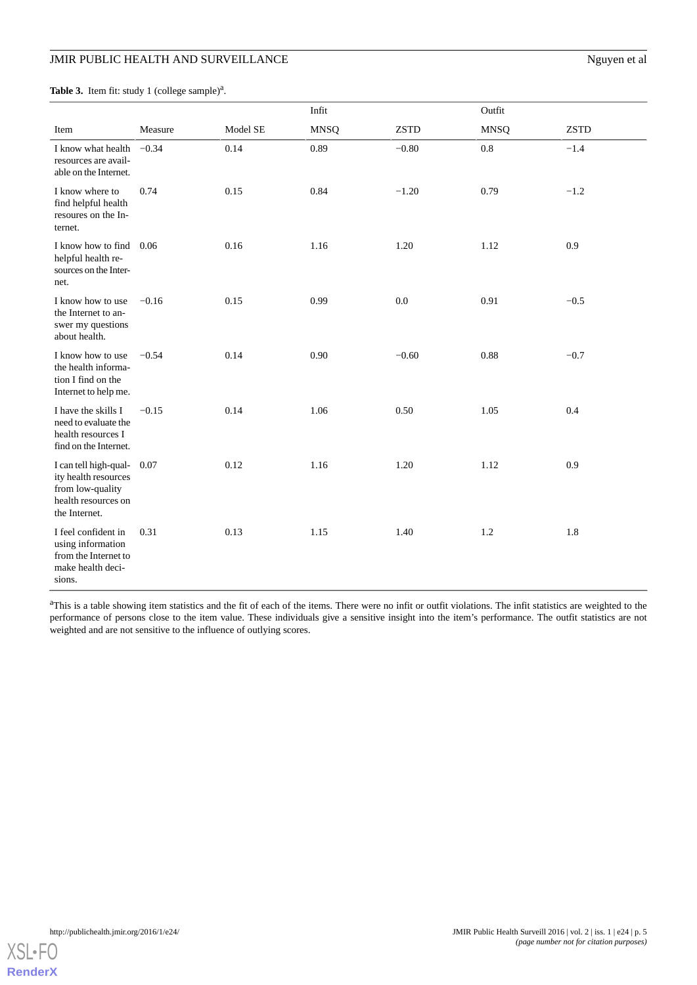<span id="page-4-0"></span>

|  |  | <b>Table 3.</b> Item fit: study 1 (college sample) <sup>a</sup> . |
|--|--|-------------------------------------------------------------------|
|  |  |                                                                   |

|                                                                                                           |         |          | Infit       |             | Outfit      |             |
|-----------------------------------------------------------------------------------------------------------|---------|----------|-------------|-------------|-------------|-------------|
| Item                                                                                                      | Measure | Model SE | <b>MNSQ</b> | <b>ZSTD</b> | <b>MNSQ</b> | <b>ZSTD</b> |
| I know what health<br>resources are avail-<br>able on the Internet.                                       | $-0.34$ | 0.14     | 0.89        | $-0.80$     | $0.8\,$     | $-1.4$      |
| I know where to<br>find helpful health<br>resoures on the In-<br>ternet.                                  | 0.74    | 0.15     | 0.84        | $-1.20$     | 0.79        | $-1.2$      |
| I know how to find 0.06<br>helpful health re-<br>sources on the Inter-<br>net.                            |         | 0.16     | 1.16        | 1.20        | 1.12        | 0.9         |
| I know how to use<br>the Internet to an-<br>swer my questions<br>about health.                            | $-0.16$ | 0.15     | 0.99        | 0.0         | 0.91        | $-0.5$      |
| I know how to use<br>the health informa-<br>tion I find on the<br>Internet to help me.                    | $-0.54$ | 0.14     | 0.90        | $-0.60$     | 0.88        | $-0.7$      |
| I have the skills I<br>need to evaluate the<br>health resources I<br>find on the Internet.                | $-0.15$ | 0.14     | 1.06        | 0.50        | 1.05        | 0.4         |
| I can tell high-qual-<br>ity health resources<br>from low-quality<br>health resources on<br>the Internet. | 0.07    | 0.12     | 1.16        | 1.20        | 1.12        | 0.9         |
| I feel confident in<br>using information<br>from the Internet to<br>make health deci-<br>sions.           | 0.31    | 0.13     | 1.15        | 1.40        | 1.2         | 1.8         |

<sup>a</sup>This is a table showing item statistics and the fit of each of the items. There were no infit or outfit violations. The infit statistics are weighted to the performance of persons close to the item value. These individuals give a sensitive insight into the item's performance. The outfit statistics are not weighted and are not sensitive to the influence of outlying scores.

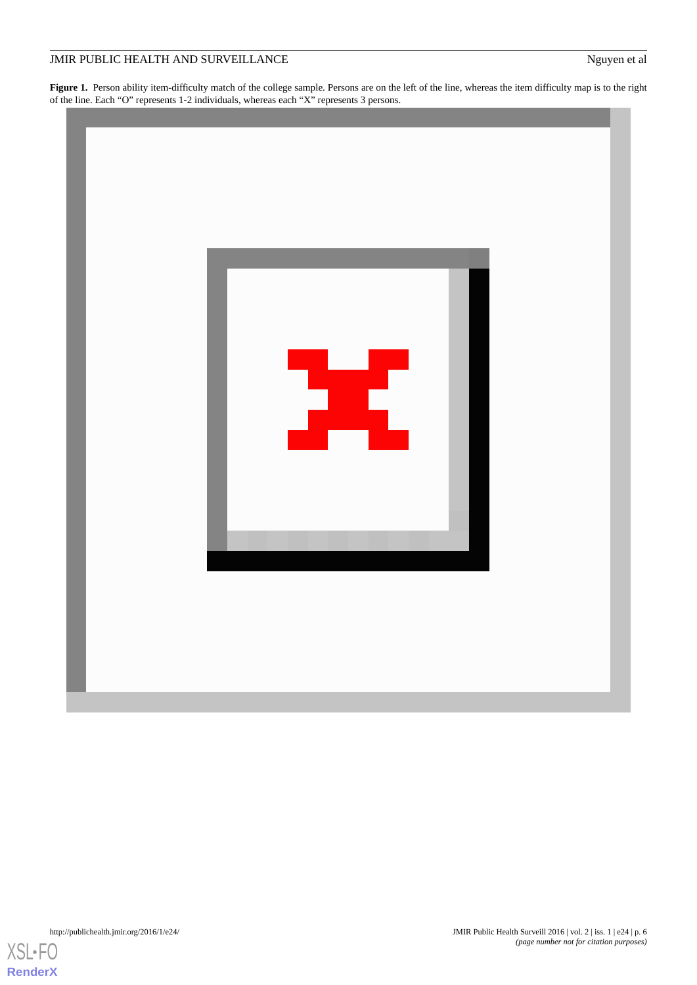<span id="page-5-0"></span>**Figure 1.** Person ability item-difficulty match of the college sample. Persons are on the left of the line, whereas the item difficulty map is to the right of the line. Each "O" represents 1-2 individuals, whereas each "X" represents 3 persons.



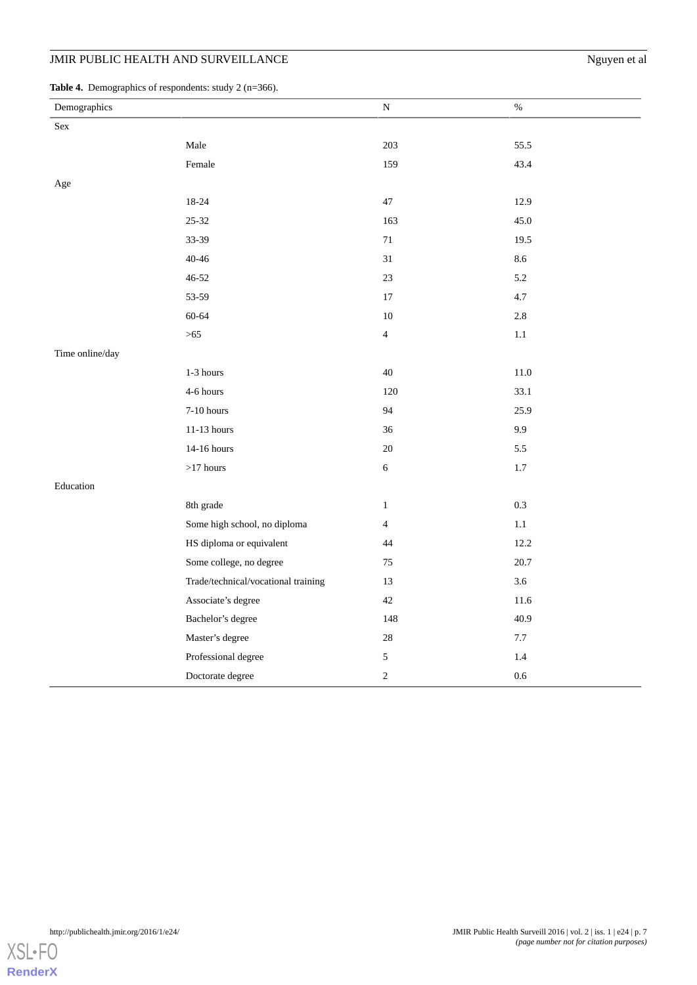<span id="page-6-0"></span>Table 4. Demographics of respondents: study 2 (n=366).

| $\circ$<br>- 11<br>Demographics |                                     | N              | $\%$     |
|---------------------------------|-------------------------------------|----------------|----------|
| $\operatorname{Sex}$            |                                     |                |          |
|                                 | Male                                | 203            | 55.5     |
|                                 | Female                              | 159            | 43.4     |
| Age                             |                                     |                |          |
|                                 | 18-24                               | $47\,$         | 12.9     |
|                                 | $25 - 32$                           | 163            | 45.0     |
|                                 | 33-39                               | 71             | 19.5     |
|                                 | $40 - 46$                           | 31             | 8.6      |
|                                 | $46 - 52$                           | 23             | 5.2      |
|                                 | 53-59                               | $17\,$         | 4.7      |
|                                 | $60 - 64$                           | $10\,$         | $2.8\,$  |
|                                 | $>65$                               | $\overline{4}$ | $1.1\,$  |
| Time online/day                 |                                     |                |          |
|                                 | 1-3 hours                           | 40             | $11.0\,$ |
|                                 | 4-6 hours                           | 120            | 33.1     |
|                                 | $7-10$ hours                        | 94             | 25.9     |
|                                 | 11-13 hours                         | 36             | 9.9      |
|                                 | 14-16 hours                         | $20\,$         | 5.5      |
|                                 | $>\!\!17$ hours                     | $\sqrt{6}$     | $1.7\,$  |
| Education                       |                                     |                |          |
|                                 | 8th grade                           | $\mathbf{1}$   | 0.3      |
|                                 | Some high school, no diploma        | $\overline{4}$ | $1.1\,$  |
|                                 | HS diploma or equivalent            | 44             | 12.2     |
|                                 | Some college, no degree             | 75             | 20.7     |
|                                 | Trade/technical/vocational training | 13             | 3.6      |
|                                 | Associate's degree                  | $42\,$         | 11.6     |
|                                 | Bachelor's degree                   | 148            | 40.9     |
|                                 | Master's degree                     | $28\,$         | $7.7\,$  |
|                                 | Professional degree                 | $\mathfrak s$  | 1.4      |
|                                 | Doctorate degree                    | $\sqrt{2}$     | $0.6\,$  |

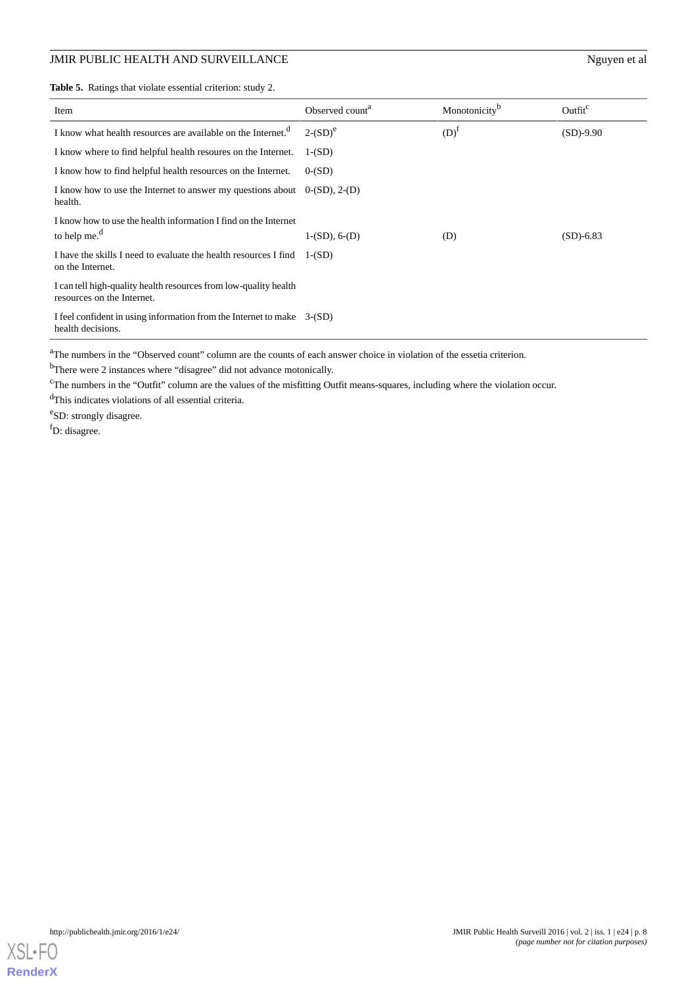<span id="page-7-0"></span>**Table 5.** Ratings that violate essential criterion: study 2.

| Item                                                                                           | Observed count <sup>a</sup> | Monotonicity <sup>b</sup> | Outfit <sup>c</sup> |
|------------------------------------------------------------------------------------------------|-----------------------------|---------------------------|---------------------|
| I know what health resources are available on the Internet. <sup>d</sup>                       | $2-(SD)^e$                  | $(D)^{I}$                 | $(SD)-9.90$         |
| I know where to find helpful health resources on the Internet.                                 | $1-(SD)$                    |                           |                     |
| I know how to find helpful health resources on the Internet.                                   | $0-(SD)$                    |                           |                     |
| I know how to use the Internet to answer my questions about<br>health.                         | $0-(SD)$ , 2- $(D)$         |                           |                     |
| I know how to use the health information I find on the Internet<br>to help me. $d$             | $1-(SD)$ , 6- $(D)$         | (D)                       | $(SD) - 6.83$       |
| I have the skills I need to evaluate the health resources I find<br>on the Internet.           | $1-(SD)$                    |                           |                     |
| I can tell high-quality health resources from low-quality health<br>resources on the Internet. |                             |                           |                     |
| I feel confident in using information from the Internet to make 3-(SD)<br>health decisions.    |                             |                           |                     |

<sup>a</sup>The numbers in the "Observed count" column are the counts of each answer choice in violation of the essetia criterion.

<sup>b</sup>There were 2 instances where "disagree" did not advance motonically.

<sup>c</sup>The numbers in the "Outfit" column are the values of the misfitting Outfit means-squares, including where the violation occur.

<sup>d</sup>This indicates violations of all essential criteria.

<sup>e</sup>SD: strongly disagree.

<sup>f</sup>D: disagree.

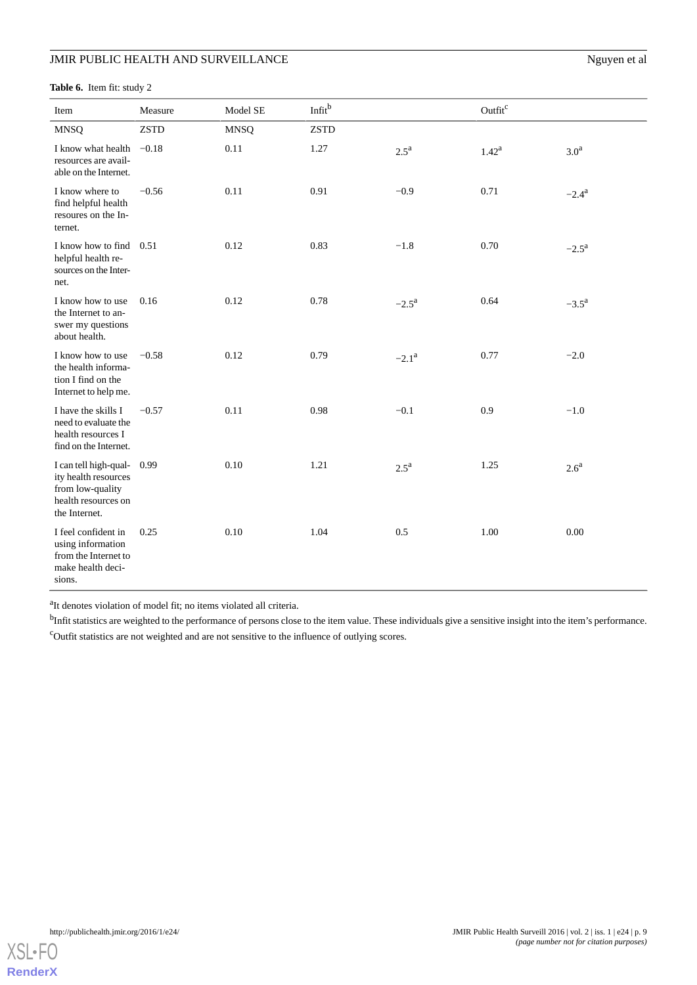<span id="page-8-0"></span>**Table 6.** Item fit: study 2

| Item                                                                                                      | Measure     | Model SE    | Infit <sup>b</sup> |                    | Outfit <sup>c</sup> |                  |
|-----------------------------------------------------------------------------------------------------------|-------------|-------------|--------------------|--------------------|---------------------|------------------|
| <b>MNSQ</b>                                                                                               | <b>ZSTD</b> | <b>MNSQ</b> | <b>ZSTD</b>        |                    |                     |                  |
| I know what health $-0.18$<br>resources are avail-<br>able on the Internet.                               |             | 0.11        | 1.27               | $2.5^{\mathrm{a}}$ | $1.42^{\rm a}$      | 3.0 <sup>a</sup> |
| I know where to<br>find helpful health<br>resoures on the In-<br>ternet.                                  | $-0.56$     | 0.11        | 0.91               | $-0.9$             | 0.71                | $-2.4^{\rm a}$   |
| I know how to find 0.51<br>helpful health re-<br>sources on the Inter-<br>net.                            |             | 0.12        | 0.83               | $-1.8$             | 0.70                | $-2.5^{\rm a}$   |
| I know how to use<br>the Internet to an-<br>swer my questions<br>about health.                            | 0.16        | 0.12        | 0.78               | $-2.5^{\rm a}$     | 0.64                | $-3.5^{\rm a}$   |
| I know how to use<br>the health informa-<br>tion I find on the<br>Internet to help me.                    | $-0.58$     | 0.12        | 0.79               | $-2.1^{\rm a}$     | 0.77                | $-2.0$           |
| I have the skills I<br>need to evaluate the<br>health resources I<br>find on the Internet.                | $-0.57$     | 0.11        | 0.98               | $-0.1$             | 0.9                 | $-1.0$           |
| I can tell high-qual-<br>ity health resources<br>from low-quality<br>health resources on<br>the Internet. | 0.99        | 0.10        | 1.21               | $2.5^{\mathrm{a}}$ | 1.25                | 2.6 <sup>a</sup> |
| I feel confident in<br>using information<br>from the Internet to<br>make health deci-<br>sions.           | 0.25        | 0.10        | 1.04               | 0.5                | 1.00                | 0.00             |

<sup>a</sup>It denotes violation of model fit; no items violated all criteria.

<sup>b</sup>Infit statistics are weighted to the performance of persons close to the item value. These individuals give a sensitive insight into the item's performance. <sup>c</sup>Outfit statistics are not weighted and are not sensitive to the influence of outlying scores.

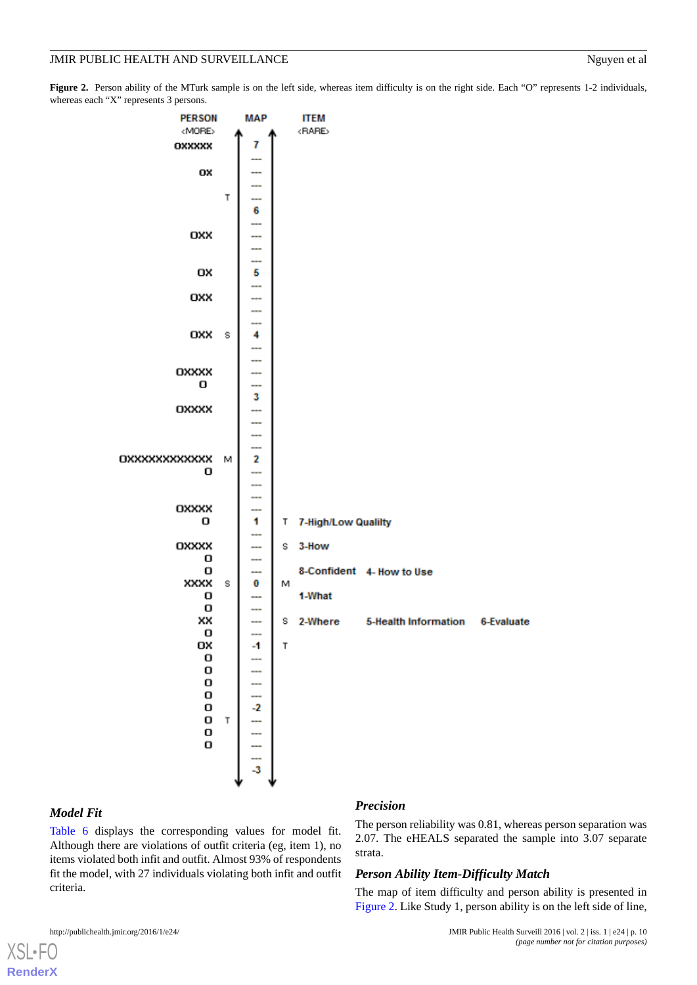<span id="page-9-0"></span>Figure 2. Person ability of the MTurk sample is on the left side, whereas item difficulty is on the right side. Each "O" represents 1-2 individuals, whereas each "X" represents 3 persons.



#### *Model Fit*

[XSL](http://www.w3.org/Style/XSL)•FO **[RenderX](http://www.renderx.com/)**

[Table 6](#page-8-0) displays the corresponding values for model fit. Although there are violations of outfit criteria (eg, item 1), no items violated both infit and outfit. Almost 93% of respondents fit the model, with 27 individuals violating both infit and outfit criteria.

#### *Precision*

The person reliability was 0.81, whereas person separation was 2.07. The eHEALS separated the sample into 3.07 separate strata.

#### *Person Ability Item-Difficulty Match*

The map of item difficulty and person ability is presented in [Figure 2](#page-9-0). Like Study 1, person ability is on the left side of line,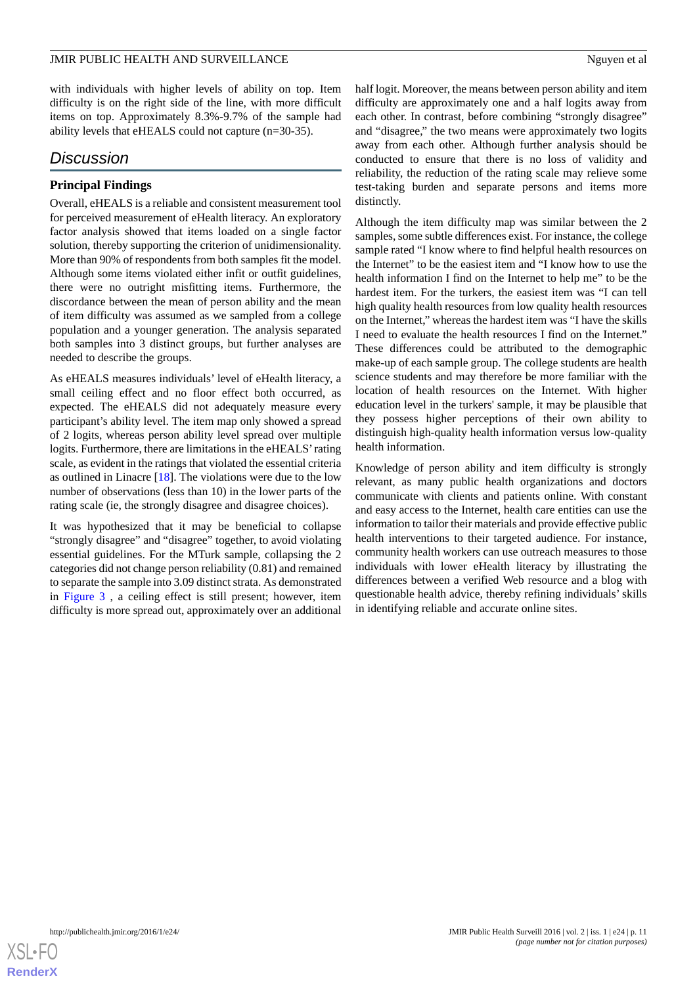with individuals with higher levels of ability on top. Item difficulty is on the right side of the line, with more difficult items on top. Approximately 8.3%-9.7% of the sample had ability levels that eHEALS could not capture (n=30-35).

# *Discussion*

### **Principal Findings**

Overall, eHEALS is a reliable and consistent measurement tool for perceived measurement of eHealth literacy. An exploratory factor analysis showed that items loaded on a single factor solution, thereby supporting the criterion of unidimensionality. More than 90% of respondents from both samples fit the model. Although some items violated either infit or outfit guidelines, there were no outright misfitting items. Furthermore, the discordance between the mean of person ability and the mean of item difficulty was assumed as we sampled from a college population and a younger generation. The analysis separated both samples into 3 distinct groups, but further analyses are needed to describe the groups.

As eHEALS measures individuals' level of eHealth literacy, a small ceiling effect and no floor effect both occurred, as expected. The eHEALS did not adequately measure every participant's ability level. The item map only showed a spread of 2 logits, whereas person ability level spread over multiple logits. Furthermore, there are limitations in the eHEALS' rating scale, as evident in the ratings that violated the essential criteria as outlined in Linacre [\[18](#page-13-1)]. The violations were due to the low number of observations (less than 10) in the lower parts of the rating scale (ie, the strongly disagree and disagree choices).

It was hypothesized that it may be beneficial to collapse "strongly disagree" and "disagree" together, to avoid violating essential guidelines. For the MTurk sample, collapsing the 2 categories did not change person reliability (0.81) and remained to separate the sample into 3.09 distinct strata. As demonstrated in [Figure 3](#page-11-0) , a ceiling effect is still present; however, item difficulty is more spread out, approximately over an additional

half logit. Moreover, the means between person ability and item difficulty are approximately one and a half logits away from each other. In contrast, before combining "strongly disagree" and "disagree," the two means were approximately two logits away from each other. Although further analysis should be conducted to ensure that there is no loss of validity and reliability, the reduction of the rating scale may relieve some test-taking burden and separate persons and items more distinctly.

Although the item difficulty map was similar between the 2 samples, some subtle differences exist. For instance, the college sample rated "I know where to find helpful health resources on the Internet" to be the easiest item and "I know how to use the health information I find on the Internet to help me" to be the hardest item. For the turkers, the easiest item was "I can tell high quality health resources from low quality health resources on the Internet," whereas the hardest item was "I have the skills I need to evaluate the health resources I find on the Internet." These differences could be attributed to the demographic make-up of each sample group. The college students are health science students and may therefore be more familiar with the location of health resources on the Internet. With higher education level in the turkers' sample, it may be plausible that they possess higher perceptions of their own ability to distinguish high-quality health information versus low-quality health information.

Knowledge of person ability and item difficulty is strongly relevant, as many public health organizations and doctors communicate with clients and patients online. With constant and easy access to the Internet, health care entities can use the information to tailor their materials and provide effective public health interventions to their targeted audience. For instance, community health workers can use outreach measures to those individuals with lower eHealth literacy by illustrating the differences between a verified Web resource and a blog with questionable health advice, thereby refining individuals' skills in identifying reliable and accurate online sites.

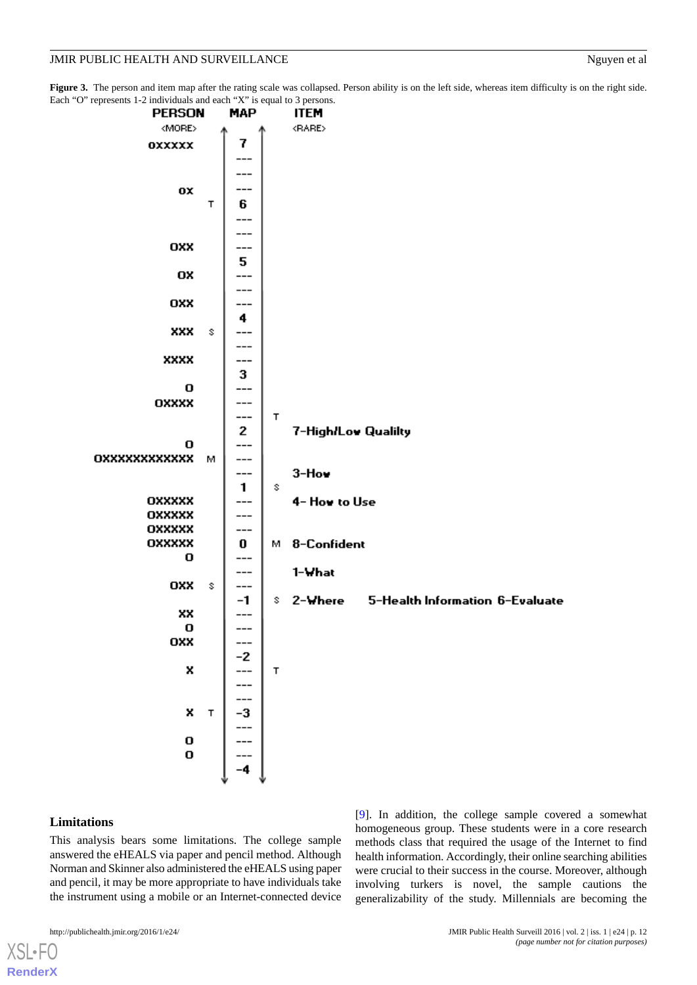<span id="page-11-0"></span>Figure 3. The person and item map after the rating scale was collapsed. Person ability is on the left side, whereas item difficulty is on the right side. Each "O

| <b>PERSON</b>                        | <b>MAP</b>                       | <b>ITEM</b>                            |
|--------------------------------------|----------------------------------|----------------------------------------|
| <more></more>                        |                                  | <rare></rare>                          |
| OXXXXX                               | 7                                |                                        |
|                                      |                                  |                                        |
|                                      |                                  |                                        |
| OX                                   |                                  |                                        |
|                                      | Т<br>6                           |                                        |
|                                      |                                  |                                        |
|                                      |                                  |                                        |
| OXX                                  |                                  |                                        |
|                                      | 5.                               |                                        |
| OX                                   | ---                              |                                        |
|                                      | ---                              |                                        |
| OXX                                  | .                                |                                        |
|                                      | 4                                |                                        |
| XXX                                  | s                                |                                        |
|                                      |                                  |                                        |
| <b>XXXX</b>                          |                                  |                                        |
|                                      | 3                                |                                        |
| o                                    |                                  |                                        |
| OXXXX                                | <u></u>                          |                                        |
|                                      | ---                              | т                                      |
|                                      | 2                                | 7-High/Low Qualilty                    |
| o                                    |                                  |                                        |
| OXXXXXXXXXXX                         | м<br>---                         |                                        |
|                                      | ---                              | 3-How                                  |
|                                      | 1                                | \$                                     |
| OXXXXX                               | ---                              | 4- How to Use                          |
| OXXXXX                               | ---                              |                                        |
| OXXXXX                               | ---                              |                                        |
| OXXXXX                               | 0                                | 8-Confident<br>M.                      |
| O                                    | ---                              |                                        |
|                                      | ---                              | 1-What                                 |
| OXX                                  | s<br>---                         | 5-Health Information 6-Evaluate<br>\$. |
| XX                                   | -1<br>---                        | 2-Where                                |
| o                                    |                                  |                                        |
| OXX                                  |                                  |                                        |
|                                      |                                  |                                        |
| X                                    |                                  | T                                      |
|                                      |                                  |                                        |
|                                      |                                  |                                        |
| X                                    | T                                |                                        |
|                                      |                                  |                                        |
|                                      | $\frac{-2}{1}$<br>$\frac{-3}{1}$ |                                        |
| $\begin{matrix} 0 \\ 0 \end{matrix}$ |                                  |                                        |
|                                      |                                  |                                        |
|                                      |                                  |                                        |
|                                      |                                  |                                        |

### **Limitations**

[XSL](http://www.w3.org/Style/XSL)•FO **[RenderX](http://www.renderx.com/)**

This analysis bears some limitations. The college sample answered the eHEALS via paper and pencil method. Although Norman and Skinner also administered the eHEALS using paper and pencil, it may be more appropriate to have individuals take the instrument using a mobile or an Internet-connected device

[[9\]](#page-12-5). In addition, the college sample covered a somewhat homogeneous group. These students were in a core research methods class that required the usage of the Internet to find health information. Accordingly, their online searching abilities were crucial to their success in the course. Moreover, although involving turkers is novel, the sample cautions the generalizability of the study. Millennials are becoming the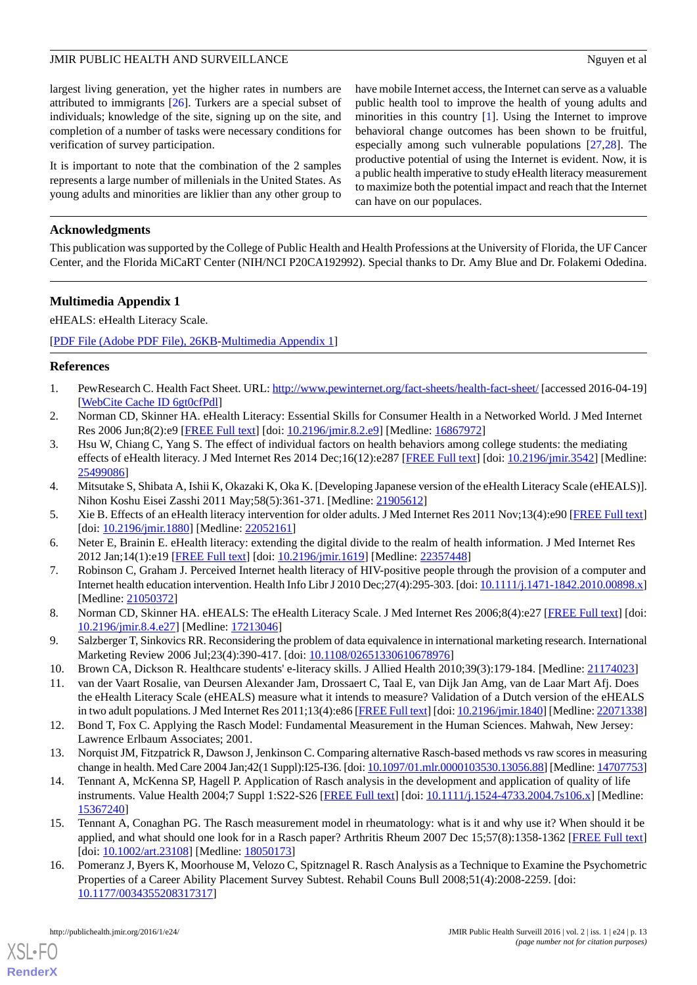largest living generation, yet the higher rates in numbers are attributed to immigrants [\[26](#page-13-8)]. Turkers are a special subset of individuals; knowledge of the site, signing up on the site, and completion of a number of tasks were necessary conditions for verification of survey participation.

It is important to note that the combination of the 2 samples represents a large number of millenials in the United States. As young adults and minorities are liklier than any other group to have mobile Internet access, the Internet can serve as a valuable public health tool to improve the health of young adults and minorities in this country [\[1](#page-12-0)]. Using the Internet to improve behavioral change outcomes has been shown to be fruitful, especially among such vulnerable populations [\[27](#page-13-9),[28\]](#page-13-10). The productive potential of using the Internet is evident. Now, it is a public health imperative to study eHealth literacy measurement to maximize both the potential impact and reach that the Internet can have on our populaces.

# **Acknowledgments**

<span id="page-12-13"></span>This publication was supported by the College of Public Health and Health Professions at the University of Florida, the UF Cancer Center, and the Florida MiCaRT Center (NIH/NCI P20CA192992). Special thanks to Dr. Amy Blue and Dr. Folakemi Odedina.

# **Multimedia Appendix 1**

eHEALS: eHealth Literacy Scale.

<span id="page-12-0"></span>[[PDF File \(Adobe PDF File\), 26KB-Multimedia Appendix 1](https://jmir.org/api/download?alt_name=publichealth_v2i1e24_app1.pdf&filename=fc26e1b5f8d1a0abfbdb00605ecb05e0.pdf)]

### <span id="page-12-1"></span>**References**

- <span id="page-12-6"></span>1. PewResearch C. Health Fact Sheet. URL:<http://www.pewinternet.org/fact-sheets/health-fact-sheet/> [accessed 2016-04-19] [[WebCite Cache ID 6gt0cfPdl](http://www.webcitation.org/

                                6gt0cfPdl)]
- 2. Norman CD, Skinner HA. eHealth Literacy: Essential Skills for Consumer Health in a Networked World. J Med Internet Res 2006 Jun;8(2):e9 [[FREE Full text](http://www.jmir.org/2006/2/e9/)] [doi: [10.2196/jmir.8.2.e9\]](http://dx.doi.org/10.2196/jmir.8.2.e9) [Medline: [16867972\]](http://www.ncbi.nlm.nih.gov/entrez/query.fcgi?cmd=Retrieve&db=PubMed&list_uids=16867972&dopt=Abstract)
- <span id="page-12-8"></span>3. Hsu W, Chiang C, Yang S. The effect of individual factors on health behaviors among college students: the mediating effects of eHealth literacy. J Med Internet Res 2014 Dec;16(12):e287 [[FREE Full text\]](http://www.jmir.org/2014/12/e287/) [doi: [10.2196/jmir.3542\]](http://dx.doi.org/10.2196/jmir.3542) [Medline: [25499086](http://www.ncbi.nlm.nih.gov/entrez/query.fcgi?cmd=Retrieve&db=PubMed&list_uids=25499086&dopt=Abstract)]
- <span id="page-12-2"></span>4. Mitsutake S, Shibata A, Ishii K, Okazaki K, Oka K. [Developing Japanese version of the eHealth Literacy Scale (eHEALS)]. Nihon Koshu Eisei Zasshi 2011 May;58(5):361-371. [Medline: [21905612\]](http://www.ncbi.nlm.nih.gov/entrez/query.fcgi?cmd=Retrieve&db=PubMed&list_uids=21905612&dopt=Abstract)
- <span id="page-12-3"></span>5. Xie B. Effects of an eHealth literacy intervention for older adults. J Med Internet Res 2011 Nov;13(4):e90 [[FREE Full text](http://www.jmir.org/2011/4/e90/)] [doi: [10.2196/jmir.1880\]](http://dx.doi.org/10.2196/jmir.1880) [Medline: [22052161\]](http://www.ncbi.nlm.nih.gov/entrez/query.fcgi?cmd=Retrieve&db=PubMed&list_uids=22052161&dopt=Abstract)
- <span id="page-12-4"></span>6. Neter E, Brainin E. eHealth literacy: extending the digital divide to the realm of health information. J Med Internet Res 2012 Jan;14(1):e19 [[FREE Full text](http://www.jmir.org/2012/1/e19/)] [doi: [10.2196/jmir.1619](http://dx.doi.org/10.2196/jmir.1619)] [Medline: [22357448](http://www.ncbi.nlm.nih.gov/entrez/query.fcgi?cmd=Retrieve&db=PubMed&list_uids=22357448&dopt=Abstract)]
- <span id="page-12-5"></span>7. Robinson C, Graham J. Perceived Internet health literacy of HIV-positive people through the provision of a computer and Internet health education intervention. Health Info Libr J 2010 Dec;27(4):295-303. [doi: [10.1111/j.1471-1842.2010.00898.x\]](http://dx.doi.org/10.1111/j.1471-1842.2010.00898.x) [Medline: [21050372](http://www.ncbi.nlm.nih.gov/entrez/query.fcgi?cmd=Retrieve&db=PubMed&list_uids=21050372&dopt=Abstract)]
- <span id="page-12-9"></span><span id="page-12-7"></span>8. Norman CD, Skinner HA. eHEALS: The eHealth Literacy Scale. J Med Internet Res 2006;8(4):e27 [\[FREE Full text](http://www.jmir.org/2006/4/e27/)] [doi: [10.2196/jmir.8.4.e27\]](http://dx.doi.org/10.2196/jmir.8.4.e27) [Medline: [17213046\]](http://www.ncbi.nlm.nih.gov/entrez/query.fcgi?cmd=Retrieve&db=PubMed&list_uids=17213046&dopt=Abstract)
- <span id="page-12-10"></span>9. Salzberger T, Sinkovics RR. Reconsidering the problem of data equivalence in international marketing research. International Marketing Review 2006 Jul;23(4):390-417. [doi: [10.1108/02651330610678976](http://dx.doi.org/10.1108/02651330610678976)]
- 10. Brown CA, Dickson R. Healthcare students' e-literacy skills. J Allied Health 2010;39(3):179-184. [Medline: [21174023](http://www.ncbi.nlm.nih.gov/entrez/query.fcgi?cmd=Retrieve&db=PubMed&list_uids=21174023&dopt=Abstract)]
- <span id="page-12-11"></span>11. van der Vaart Rosalie, van Deursen Alexander Jam, Drossaert C, Taal E, van Dijk Jan Amg, van de Laar Mart Afj. Does the eHealth Literacy Scale (eHEALS) measure what it intends to measure? Validation of a Dutch version of the eHEALS in two adult populations. J Med Internet Res 2011;13(4):e86 [\[FREE Full text](http://www.jmir.org/2011/4/e86/)] [doi: [10.2196/jmir.1840\]](http://dx.doi.org/10.2196/jmir.1840) [Medline: [22071338\]](http://www.ncbi.nlm.nih.gov/entrez/query.fcgi?cmd=Retrieve&db=PubMed&list_uids=22071338&dopt=Abstract)
- 12. Bond T, Fox C. Applying the Rasch Model: Fundamental Measurement in the Human Sciences. Mahwah, New Jersey: Lawrence Erlbaum Associates; 2001.
- <span id="page-12-14"></span>13. Norquist JM, Fitzpatrick R, Dawson J, Jenkinson C. Comparing alternative Rasch-based methods vs raw scores in measuring change in health. Med Care 2004 Jan;42(1 Suppl):I25-I36. [doi: [10.1097/01.mlr.0000103530.13056.88\]](http://dx.doi.org/10.1097/01.mlr.0000103530.13056.88) [Medline: [14707753\]](http://www.ncbi.nlm.nih.gov/entrez/query.fcgi?cmd=Retrieve&db=PubMed&list_uids=14707753&dopt=Abstract)
- <span id="page-12-12"></span>14. Tennant A, McKenna SP, Hagell P. Application of Rasch analysis in the development and application of quality of life instruments. Value Health 2004;7 Suppl 1:S22-S26 [[FREE Full text](http://linkinghub.elsevier.com/retrieve/pii/S1098-3015(10)60232-X)] [doi: [10.1111/j.1524-4733.2004.7s106.x\]](http://dx.doi.org/10.1111/j.1524-4733.2004.7s106.x) [Medline: [15367240](http://www.ncbi.nlm.nih.gov/entrez/query.fcgi?cmd=Retrieve&db=PubMed&list_uids=15367240&dopt=Abstract)]
- 15. Tennant A, Conaghan PG. The Rasch measurement model in rheumatology: what is it and why use it? When should it be applied, and what should one look for in a Rasch paper? Arthritis Rheum 2007 Dec 15;57(8):1358-1362 [[FREE Full text](http://dx.doi.org/10.1002/art.23108)] [doi: [10.1002/art.23108](http://dx.doi.org/10.1002/art.23108)] [Medline: [18050173](http://www.ncbi.nlm.nih.gov/entrez/query.fcgi?cmd=Retrieve&db=PubMed&list_uids=18050173&dopt=Abstract)]
- 16. Pomeranz J, Byers K, Moorhouse M, Velozo C, Spitznagel R. Rasch Analysis as a Technique to Examine the Psychometric Properties of a Career Ability Placement Survey Subtest. Rehabil Couns Bull 2008;51(4):2008-2259. [doi: [10.1177/0034355208317317\]](http://dx.doi.org/10.1177/0034355208317317)

[XSL](http://www.w3.org/Style/XSL)•FO **[RenderX](http://www.renderx.com/)**